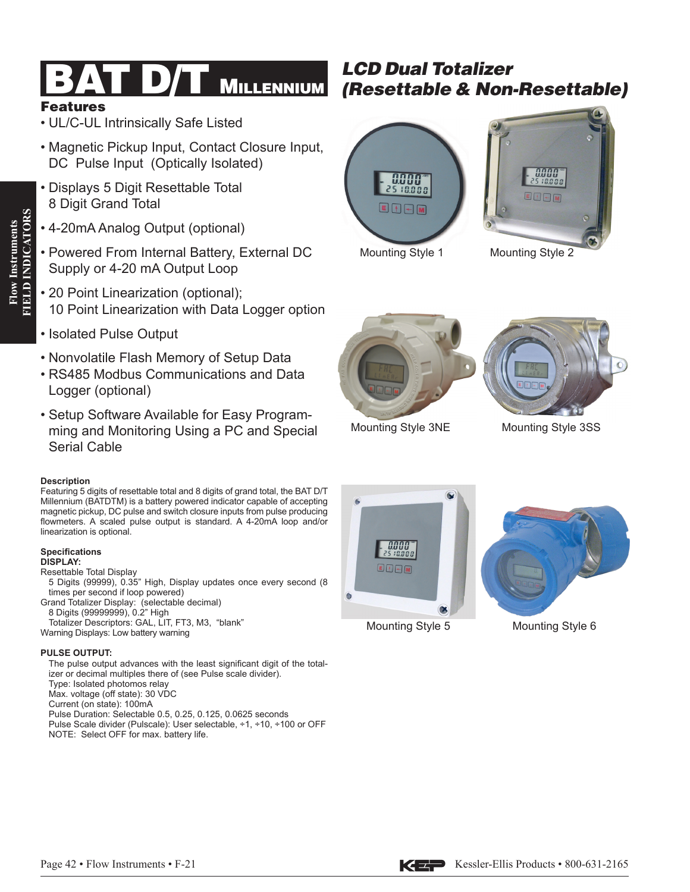# Features

**Flow Instruments FIELD INDICATORS**

**FIELD INDICATORS Flow Instruments** 

- UL/C-UL Intrinsically Safe Listed
- Magnetic Pickup Input, Contact Closure Input, DC Pulse Input (Optically Isolated)
- Displays 5 Digit Resettable Total 8 Digit Grand Total
- 4-20mA Analog Output (optional)
- Powered From Internal Battery, External DC Supply or 4-20 mA Output Loop
- 20 Point Linearization (optional); 10 Point Linearization with Data Logger option
- Isolated Pulse Output
- Nonvolatile Flash Memory of Setup Data
- RS485 Modbus Communications and Data Logger (optional)
- Setup Software Available for Easy Programming and Monitoring Using a PC and Special Serial Cable

### **Description**

Featuring 5 digits of resettable total and 8 digits of grand total, the BAT D/T Millennium (BATDTM) is a battery powered indicator capable of accepting magnetic pickup, DC pulse and switch closure inputs from pulse producing flowmeters. A scaled pulse output is standard. A 4-20mA loop and/or linearization is optional.

## **Specifications**

**DISPLAY:** Resettable Total Display 5 Digits (99999), 0.35" High, Display updates once every second (8 times per second if loop powered) Grand Totalizer Display: (selectable decimal) 8 Digits (99999999), 0.2" High Totalizer Descriptors: GAL, LIT, FT3, M3, "blank" Warning Displays: Low battery warning

### **PULSE OUTPUT:**

The pulse output advances with the least significant digit of the totalizer or decimal multiples there of (see Pulse scale divider). Type: Isolated photomos relay Max. voltage (off state): 30 VDC Current (on state): 100mA Pulse Duration: Selectable 0.5, 0.25, 0.125, 0.0625 seconds Pulse Scale divider (Pulscale): User selectable, ÷1, ÷10, ÷100 or OFF NOTE: Select OFF for max. battery life.

# **LCD Dual Totalizer**<br>**BAT D/T MILLENNIUM** *(Resettable & Non-Resettable)*





Mounting Style 1 Mounting Style 2





Mounting Style 3NE

Mounting Style 3SS



Mounting Style 5 Mounting Style 6



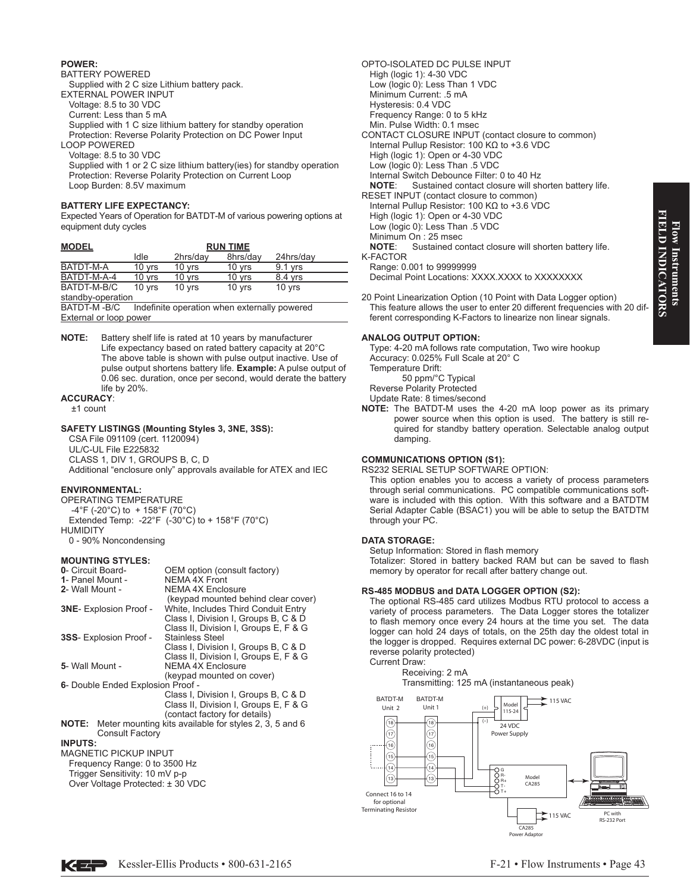# Flow Instruments<br>FIELD INDICATORS **FIELD INDICATORS Flow Instruments**

#### **POWER:**

#### BATTERY POWERED

Supplied with 2 C size Lithium battery pack.

- EXTERNAL POWER INPUT
	- Voltage: 8.5 to 30 VDC
	- Current: Less than 5 mA

Supplied with 1 C size lithium battery for standby operation Protection: Reverse Polarity Protection on DC Power Input

- LOOP POWERED
- Voltage: 8.5 to 30 VDC

Supplied with 1 or 2 C size lithium battery(ies) for standby operation Protection: Reverse Polarity Protection on Current Loop Loop Burden: 8.5V maximum

#### **BATTERY LIFE EXPECTANCY:**

Expected Years of Operation for BATDT-M of various powering options at equipment duty cycles

| <b>MODEL</b>                  | <b>RUN TIME</b> |                                              |          |           |
|-------------------------------|-----------------|----------------------------------------------|----------|-----------|
|                               | Idle            | 2hrs/day                                     | 8hrs/day | 24hrs/day |
| BATDT-M-A                     | 10 yrs          | 10 yrs                                       | 10 yrs   | $9.1$ yrs |
| BATDT-M-A-4                   | 10 yrs          | 10 yrs                                       | 10 yrs   | 8.4 yrs   |
| BATDT-M-B/C                   | 10 yrs          | 10 yrs                                       | 10 yrs   | 10 yrs    |
| standby-operation             |                 |                                              |          |           |
| BATDT-M-B/C                   |                 | Indefinite operation when externally powered |          |           |
| <b>External or loop power</b> |                 |                                              |          |           |

**NOTE:** Battery shelf life is rated at 10 years by manufacturer Life expectancy based on rated battery capacity at 20°C The above table is shown with pulse output inactive. Use of pulse output shortens battery life. **Example:** A pulse output of 0.06 sec. duration, once per second, would derate the battery life by 20%.

#### **ACCURACY**:

±1 count

#### **SAFETY LISTINGS (Mounting Styles 3, 3NE, 3SS):**

CSA File 091109 (cert. 1120094) UL/C-UL File E225832 CLASS 1, DIV 1, GROUPS B, C, D Additional "enclosure only" approvals available for ATEX and IEC

#### **ENVIRONMENTAL:**

OPERATING TEMPERATURE -4°F (-20°C) to + 158°F (70°C) Extended Temp: -22°F  $(-30^{\circ}C)$  to + 158°F (70°C) HUMIDITY 0 - 90% Noncondensing

#### **MOUNTING STYLES:**

| 0- Circuit Board-                   | OEM option (consult factory)                                        |  |  |
|-------------------------------------|---------------------------------------------------------------------|--|--|
| 1- Panel Mount -                    | NEMA 4X Front                                                       |  |  |
| 2- Wall Mount -                     | <b>NEMA 4X Enclosure</b>                                            |  |  |
|                                     | (keypad mounted behind clear cover)                                 |  |  |
| 3NE- Explosion Proof -              | White, Includes Third Conduit Entry                                 |  |  |
|                                     | Class I, Division I, Groups B, C & D                                |  |  |
|                                     | Class II, Division I, Groups E, F & G                               |  |  |
| 3SS- Explosion Proof -              | <b>Stainless Steel</b>                                              |  |  |
|                                     | Class I, Division I, Groups B, C & D                                |  |  |
|                                     | Class II, Division I, Groups E, F & G                               |  |  |
| 5- Wall Mount -                     | NEMA 4X Enclosure                                                   |  |  |
|                                     | (keypad mounted on cover)                                           |  |  |
| 6- Double Ended Explosion Proof -   |                                                                     |  |  |
|                                     | Class I, Division I, Groups B, C & D                                |  |  |
|                                     | Class II, Division I, Groups E, F & G                               |  |  |
|                                     | (contact factory for details)                                       |  |  |
|                                     | <b>NOTE:</b> Meter mounting kits available for styles 2, 3, 5 and 6 |  |  |
| Consult Factory                     |                                                                     |  |  |
| <b>INPUTS:</b>                      |                                                                     |  |  |
| <b>MAGNETIC PICKUP INPUT</b>        |                                                                     |  |  |
| $E$ roguanov Dongo: 0 to 2500 $H_7$ |                                                                     |  |  |

- Frequency Range: 0 to 3500 Hz Trigger Sensitivity: 10 mV p-p
- Over Voltage Protected: ± 30 VDC

OPTO-ISOLATED DC PULSE INPUT High (logic 1): 4-30 VDC Low (logic 0): Less Than 1 VDC Minimum Current: .5 mA Hysteresis: 0.4 VDC Frequency Range: 0 to 5 kHz Min. Pulse Width: 0.1 msec CONTACT CLOSURE INPUT (contact closure to common) Internal Pullup Resistor: 100 KΩ to +3.6 VDC High (logic 1): Open or 4-30 VDC Low (logic 0): Less Than .5 VDC Internal Switch Debounce Filter: 0 to 40 Hz **NOTE**: Sustained contact closure will shorten battery life. RESET INPUT (contact closure to common) Internal Pullup Resistor: 100 KΩ to +3.6 VDC High (logic 1): Open or 4-30 VDC Low (logic 0): Less Than .5 VDC Minimum On : 25 msec<br> **NOTE:** Sustained co Sustained contact closure will shorten battery life. K-FACTOR Range: 0.001 to 99999999

Decimal Point Locations: XXXX.XXXX to XXXXXXXX

20 Point Linearization Option (10 Point with Data Logger option) This feature allows the user to enter 20 different frequencies with 20 different corresponding K-Factors to linearize non linear signals.

#### **ANALOG OUTPUT OPTION:**

Type: 4-20 mA follows rate computation, Two wire hookup Accuracy: 0.025% Full Scale at 20° C Temperature Drift: 50 ppm/°C Typical Reverse Polarity Protected Update Rate: 8 times/second

**NOTE:** The BATDT-M uses the 4-20 mA loop power as its primary power source when this option is used. The battery is still required for standby battery operation. Selectable analog output damping.

#### **COMMUNICATIONS OPTION (S1):**

RS232 SERIAL SETUP SOFTWARE OPTION:

This option enables you to access a variety of process parameters through serial communications. PC compatible communications software is included with this option. With this software and a BATDTM Serial Adapter Cable (BSAC1) you will be able to setup the BATDTM through your PC.

#### **DATA STORAGE:**

Setup Information: Stored in flash memory

Totalizer: Stored in battery backed RAM but can be saved to flash memory by operator for recall after battery change out.

#### **RS-485 MODBUS and DATA LOGGER OPTION (S2):**

The optional RS-485 card utilizes Modbus RTU protocol to access a variety of process parameters. The Data Logger stores the totalizer to flash memory once every 24 hours at the time you set. The data logger can hold 24 days of totals, on the 25th day the oldest total in the logger is dropped. Requires external DC power: 6-28VDC (input is reverse polarity protected) Current Draw:

#### Receiving: 2 mA Transmitting: 125 mA (instantaneous peak)

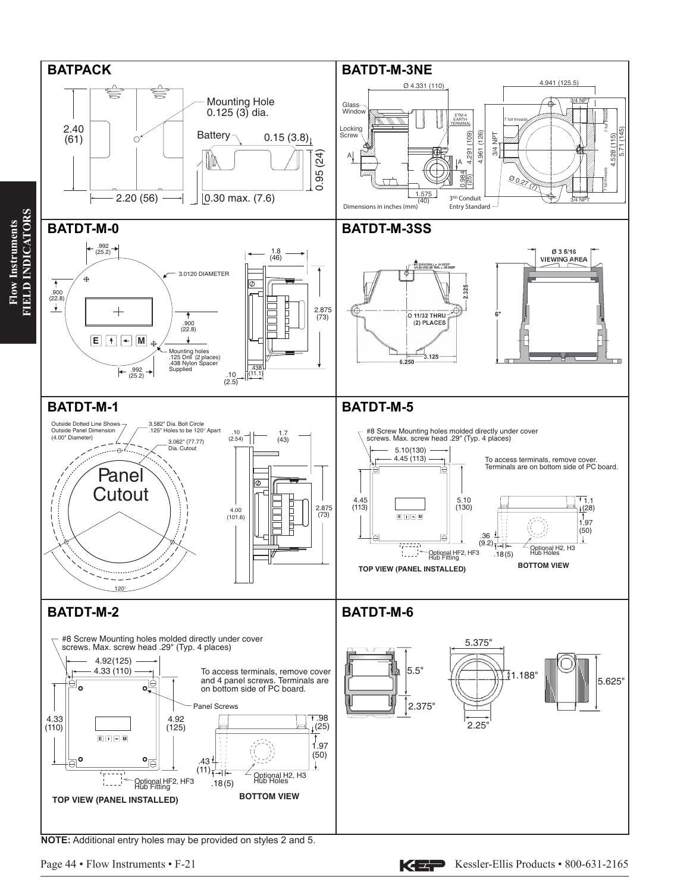